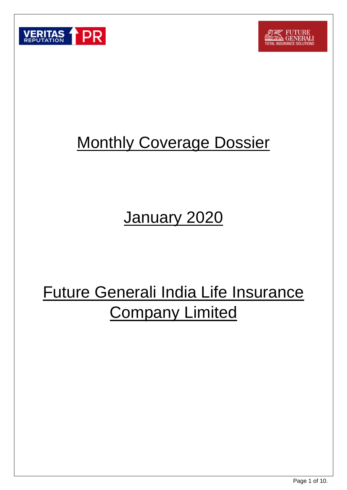



## **Monthly Coverage Dossier**

## January 2020

# Future Generali India Life Insurance Company Limited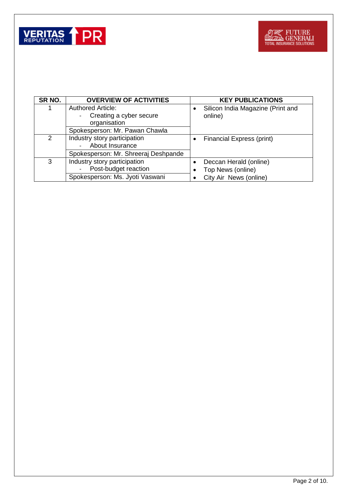

| SR NO.        | <b>OVERVIEW OF ACTIVITIES</b>        | <b>KEY PUBLICATIONS</b>           |
|---------------|--------------------------------------|-----------------------------------|
|               | <b>Authored Article:</b>             | Silicon India Magazine (Print and |
|               | Creating a cyber secure              | online)                           |
|               | organisation                         |                                   |
|               | Spokesperson: Mr. Pawan Chawla       |                                   |
| $\mathcal{P}$ | Industry story participation         | Financial Express (print)         |
|               | About Insurance                      |                                   |
|               | Spokesperson: Mr. Shreeraj Deshpande |                                   |
| 3             | Industry story participation         | Deccan Herald (online)            |
|               | Post-budget reaction                 | Top News (online)                 |
|               | Spokesperson: Ms. Jyoti Vaswani      | City Air News (online)            |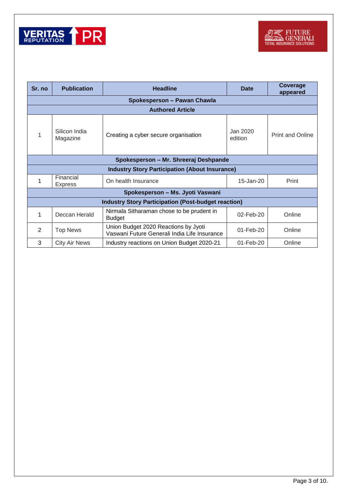

| Sr. no                                                     | <b>Publication</b>                    | <b>Headline</b>                                                                      |                     | Coverage<br>appeared    |  |
|------------------------------------------------------------|---------------------------------------|--------------------------------------------------------------------------------------|---------------------|-------------------------|--|
|                                                            | Spokesperson - Pawan Chawla           |                                                                                      |                     |                         |  |
|                                                            | <b>Authored Article</b>               |                                                                                      |                     |                         |  |
|                                                            | Silicon India<br>Magazine             | Creating a cyber secure organisation                                                 | Jan 2020<br>edition | <b>Print and Online</b> |  |
|                                                            | Spokesperson – Mr. Shreeraj Deshpande |                                                                                      |                     |                         |  |
| <b>Industry Story Participation (About Insurance)</b>      |                                       |                                                                                      |                     |                         |  |
|                                                            | Financial<br><b>Express</b>           | On health Insurance                                                                  | 15-Jan-20           | Print                   |  |
| Spokesperson - Ms. Jyoti Vaswani                           |                                       |                                                                                      |                     |                         |  |
| <b>Industry Story Participation (Post-budget reaction)</b> |                                       |                                                                                      |                     |                         |  |
| 1                                                          | Deccan Herald                         | Nirmala Sitharaman chose to be prudent in<br><b>Budget</b>                           | 02-Feb-20           | Online                  |  |
| $\overline{2}$                                             | <b>Top News</b>                       | Union Budget 2020 Reactions by Jyoti<br>Vaswani Future Generali India Life Insurance | $01$ -Feb-20        | Online                  |  |
| 3                                                          | <b>City Air News</b>                  | Industry reactions on Union Budget 2020-21                                           | $01$ -Feb-20        | Online                  |  |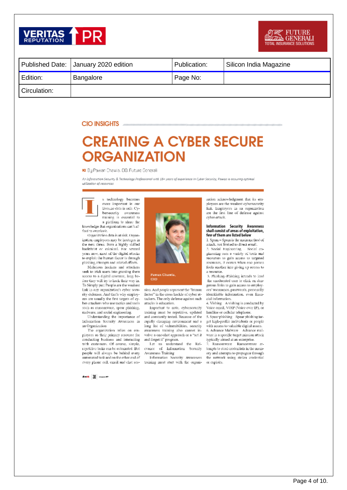

|              | Published Date: January 2020 edition | Publication: | Silicon India Magazine |
|--------------|--------------------------------------|--------------|------------------------|
| Edition:     | Bangalore                            | Page No:     |                        |
| Circulation: |                                      |              |                        |

#### **CIO INSIGHTS**

### **CREATING A CYBER SECURE ORGANIZATION**

#### ▶ Bu Pawan Chawla, CIO, Future Generali

An Information Security & Technology Professional with 18+ years of experience in Cyber Security, Pawan is ensuring optimal utilization of resources



technology becomes more important in our lives.no data is safe. Cybersecurity awareness training is essential to a platform to share the

knowledge that organizations can't afford to overlook.

Organization data is at risk. Organization employees may be hostages in the next threat from a highly skilled hacktivist or criminal. For several years now, most of the digital attacks to exploit the human factor is through phishing attempts and related efforts

Malicious hackers and attackers seek to trick users into granting them necess to a digital resource, long before they will try to hack their way in. To Simply put: People are the weakest link in any organization's cyber security defenses. And that's why employees are usually the first targets of cyber-attackers who use tactics and tools such as ransomware, spear phishing,

malware, and social engineering.<br>
Understanding the importance of Information Security Awareness in an Organization

The organization relies on employees as their primary resource for conducting business and interacting with customers. Of course, simple, repetitive tasks can be automated. But people will always be behind every automated task and on the other end of every phone call, email and chat sea-

Pawan Chawla, cio

sion. And people represent the "humanfactor" in the cross hackle of cyber attackers. The only defense against such attacks is education.

Important to note, cybersecurity training must be repetitive, updated and constantly tested. Because of the rapidly changing environment and a long list of vulnerabilities, security awareness training also cannot involve a one-shot approach or a "set it and forget it" program.

Let us understand the Rel-<br>evance of Information Security Awareness Training

Information Security Awareness training must start with the organi-

zation acknowledgment that its employees are the weakest cybersecurity link. Employees in an organization are the first line of defense against eyber-attack.

#### Information Security Awareness<br>shall consist of areas of exploitation, few of them are listed below

1. Spam - Spam is the main method of attack, not limited to direct email. 2. Social Engineering - Social en-

gineering uses a variety of tools and recourses to gain access to targeted resources, it occurs when one person fools another into giving up access to a resource.

3. Phishing-Phishing intends to lead the uneducated user to click on dengerous links to gain access to employces' uscruames, passwords, personally identifiable information, even linencial information.

4. Vishing A vishing is conducted by Voice email, VOIP (Voice over IP), or landline or cellular telephone.

5. Spear phishing Spear phishing target high-profile individuals or people with access to valuable digital assets. 6. Advance Malware Advance malware is a specific target mission attack typically aimed at an enterprise.

7. Ransomware Ransomware attempts to steal credentials in the memory and altempts to propagate through the network using stolen credential or exploits.

And 31 Super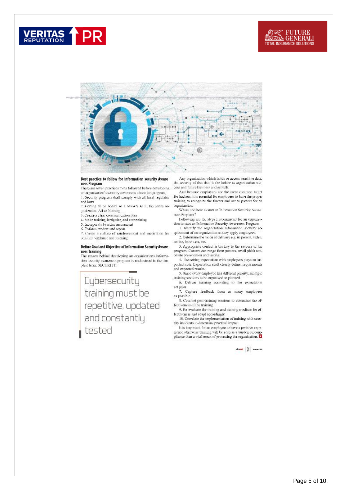## **ERITAS**



#### Best practice to follow for Information security Awareness Program

There are seven practices to be followed before developing. an organization's security awareness education program, 1. Security program shall comply with all local regulator

and laws. 2. Getting all on board, ALL MEAN ALL, the entire or-

ganization. All or Nothing<br>3. Create a clear communication plan

4. Make training, intriguing and entertaining

S. Incorporate baseline assessment

6. Enforce, review and repeat.

7. Create a culture of reinforcement and motivation for constant vigilance and fearning

#### Define Goal and Objective of Information Security Awareness Training

The reason behind developing an organizations information security awareness program is understood in the simplest term: SECURITY. the security of that data is the ladder to organization success and future business and growth.

And because employees are the mest common target Final occurse employees are the mest common target<br>for hackers, it is essential for employees to have the proper<br>training to recognize the threats and act to protect for an organization.

Where and how to start an Information Security Aware ness Program?

Following are the steps I recommend for an organization to start an Information Security Awareness Program. 1. Identify the organization Information security re-

quirement of an organization as they apply employees. 2. Determine the mode of delivery e.g. in-person, video,

online, hands-on, etc. 3. Appropriate content is the key to the success of the program. Content can range from posters, email phish test, onsite presentation and testing

4. The setting expectation with employees plays an intportant role. Expectation shall clearly define, requirements and expected results.

5. Since every employee has different priority, multiple training sessions to be organized or planned.<br> $6.$  Deliver training according to the expectation

 $\operatorname{\mathsf{set}}$  prior. <br>  $\begin{minipage}{0.9\linewidth} \begin{tabular}{ccc} \texttt{7.} \end{tabular} \begin{tabular}{ccc} \texttt{3.} \end{tabular} \begin{tabular}{ccc} \texttt{4.} \end{tabular} \begin{tabular}{ccc} \texttt{8.} \end{tabular} \end{minipage}$ 

as possible. 8. Conduct post-training sessions to determine the ef-

fectiveness of the training. 9. Re-evaluate the training and training medium for ef-

fectiveness and adapt accordingly. 10. Correlate the implementation of training with security incidents to determine practical impact.

It is important for an employee to have a positive experience otherwise training will be seen as a burden on compliance than a vital mean of protecting the organization.  $\Box$ 

street 31 issue on

Cybersecurity training must be repetitive, updated and constantly tested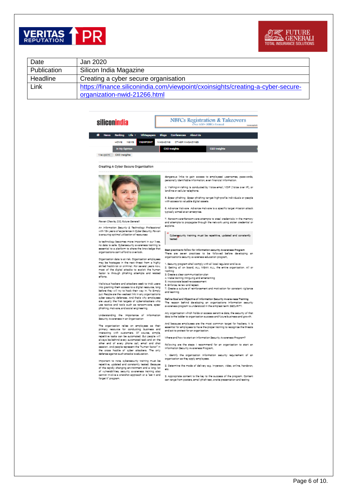



| Date        | Jan 2020                                                                        |
|-------------|---------------------------------------------------------------------------------|
| Publication | Silicon India Magazine                                                          |
| Headline    | Creating a cyber secure organisation                                            |
| Link        | https://finance.siliconindia.com/viewpoint/cxoinsights/creating-a-cyber-secure- |
|             | organization-nwid-21266.html                                                    |

#### siliconindia





Creating A Cyber Secure Organization



#### Payne Chawle, C/O. Future General!

An Information Security & Technology Professional with 184 years of experience in Cyber Security, Power<br>is ensuring optimal utilization of resources

la technology becomes more important in our lives,<br>no data la sefe. Cybersecurity awareness training is<br>essential to a glatform to share the knowledge that<br>organizations can't efford to overlook.

Organization data is at risk. Organization employees<br>may be hostages in the next threat from a highly<br>skilled hosticitat or criminal. For several years now,<br>most of the digital attacks to exploit the human<br>factor is throug efforts.

Melatous heckers and attackers seek to trick users into granting them access to a digital resource, long be the manner of the trial property of the property of the property of the system of the system of the system of the

Understanding the Importance of Information<br>Security Avronmess in an Organization

The organization relies on employees as their primary resources and interesting business and interesting in the content of contents and represent and on the set of the set of the set of the set of the set of the set of th the aross haddle of cyber attackers. The only<br>defense against such attacks is education.

Important to note, cybersecurity training must be<br>regatitive, updated and constantly tested. Decause of the regidly changing environment and a long lat<br>of vulnerabilities, security awareness training also connot involve a onershot approach or a 'set it and forget it' program

dengerous links to gein ecoess to employees' usemernes, gesswords,<br>geroonally identifiable information, even financial information.

4. Vishing:Antshing is conducted by Valce amail, VOIP (Valce over IP), or<br>landline or cellular telephone.

5. Spear phlahing Spear phlahing target high-profile individuals or people with access to valuable digital assets.

6. Advence Malware, Advence malware is a specific target mission attack. typically aimed at an enterprise.

7. Rensomment-Rensommere ettempte to sted oredentials in the memory<br>and attempts to propagate through the network using stalen aredential or exploits.

Cybersycurity training must be repetitive, updated and constantly tested

Best practice to follow for information security Amsreness Program<br>There isne issuen i practices its ibe followed before ideveloping ion organization's security awareness education program,

1. Security program shall comply with all local regulator and laws<br>2. Getting all on board, ALL MEAN ALL, the entire organization. All or

- Nothing<br>2. Create a clear communication plan
- 4. Make training intriguing and entertaining

5. Incorporate baseline assessment

- 
- 

Define Coal and Objective of Information Security Aware-ness Training The reason behind developing an organizations information security:<br>awareness.program.is.understood.in.the.simplest.term: SECURITY.

Any organization which holds or access sensitive data, the security of that<br>data is the ladder to organization success and future business and growth.

And because employees are the most common target for hackers, it is expential for employees to have the proper training to recognize the threats and act to protect for an organization.

Where and how to start an information Security Awareness Program?

Pollowing one the steps I recommend for an organization to start on<br>Information Security Awareness Program,

1. Identify the organization information security regulrement of an organization as they apply employees.

2. Determine the mode of delivery e.g. Imperson, video, online, handsron, sto

2. Appropriate content is the key to the success of the program. Content. can rence from posters, email phish test, oriste presentation and testing.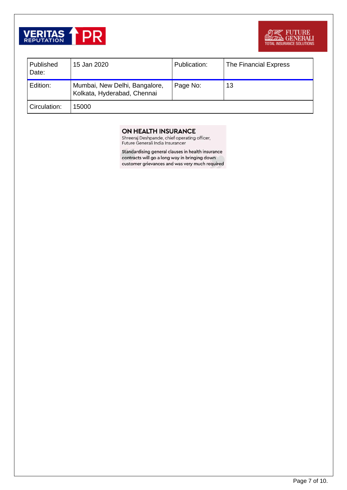

| Published<br>Date: | 15 Jan 2020                                                  | Publication: | The Financial Express |
|--------------------|--------------------------------------------------------------|--------------|-----------------------|
| Edition:           | Mumbai, New Delhi, Bangalore,<br>Kolkata, Hyderabad, Chennai | Page No:     | 13                    |
| Circulation:       | 15000                                                        |              |                       |

#### ON HEALTH INSURANCE

Shreeraj Deshpande, chief operating officer,<br>Future Generali India Insurancer

Standardising general clauses in health insurance contracts will go a long way in bringing down customer grievances and was very much required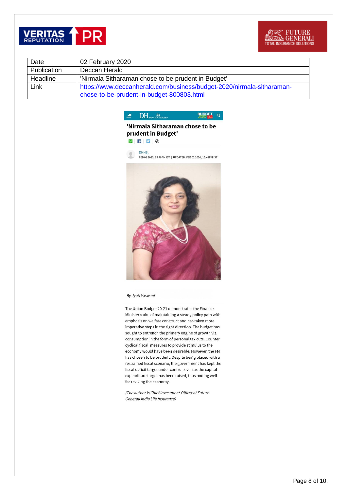



| Date        | 02 February 2020                                                      |
|-------------|-----------------------------------------------------------------------|
| Publication | Deccan Herald                                                         |
| Headline    | 'Nirmala Sitharaman chose to be prudent in Budget'                    |
| Link        | https://www.deccanherald.com/business/budget-2020/nirmala-sitharaman- |
|             | chose-to-be-prudent-in-budget-800803.html                             |



#### 'Nirmala Sitharaman chose to be prudent in Budget'

 $\circ$   $\bullet$   $\bullet$ 

DHNS, FEB 02 2020, 15:48PM IST | UPDATED: FEB 02 2020, 15:48PM IST



#### By Jyoti Vaswani

The Union Budget 20-21 demonstrates the Finance Minister's aim of maintaining a steady policy path with emphasis on welfare construct and has taken more imperative steps in the right direction. The budget has sought to entrench the primary engine of growth viz. consumption in the form of personal tax cuts. Counter cyclical fiscal measures to provide stimulus to the economy would have been desirable. However, the FM has chosen to be prudent. Despite being placed with a restrained fiscal scenario, the government has kept the fiscal deficit target under control, even as the capital expenditure target has been raised, thus boding well for reviving the economy.

(The author is Chief Investment Officer at Future Generali India Life Insurance)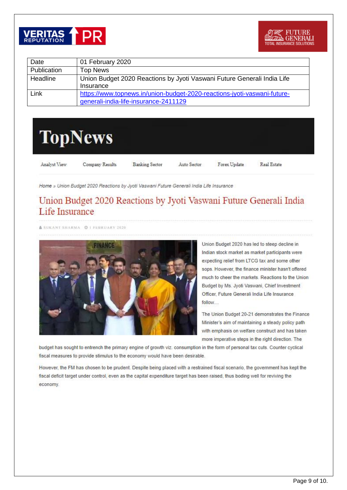



| Date        | 01 February 2020                                                                                                  |
|-------------|-------------------------------------------------------------------------------------------------------------------|
| Publication | <b>Top News</b>                                                                                                   |
| Headline    | Union Budget 2020 Reactions by Jyoti Vaswani Future Generali India Life<br>Insurance                              |
| Link        | https://www.topnews.in/union-budget-2020-reactions-jyoti-vaswani-future-<br>generali-india-life-insurance-2411129 |



Analyst View

Company Results

**Banking Sector** 

Auto Sector

Forex Update

Real Estate

Home » Union Budget 2020 Reactions by Jyoti Vaswani Future Generali India Life Insurance

### Union Budget 2020 Reactions by Jyoti Vaswani Future Generali India Life Insurance

SUKANT SHARMA @ 1 FEBRUARY 2020



Union Budget 2020 has led to steep decline in Indian stock market as market participants were expecting relief from LTCG tax and some other sops. However, the finance minister hasn't offered much to cheer the markets. Reactions to the Union Budget by Ms. Jyoti Vaswani, Chief Investment Officer, Future Generali India Life Insurance follow....

The Union Budget 20-21 demonstrates the Finance Minister's aim of maintaining a steady policy path with emphasis on welfare construct and has taken more imperative steps in the right direction. The

budget has sought to entrench the primary engine of growth viz. consumption in the form of personal tax cuts. Counter cyclical fiscal measures to provide stimulus to the economy would have been desirable.

However, the FM has chosen to be prudent. Despite being placed with a restrained fiscal scenario, the government has kept the fiscal deficit target under control, even as the capital expenditure target has been raised, thus boding well for reviving the economy.